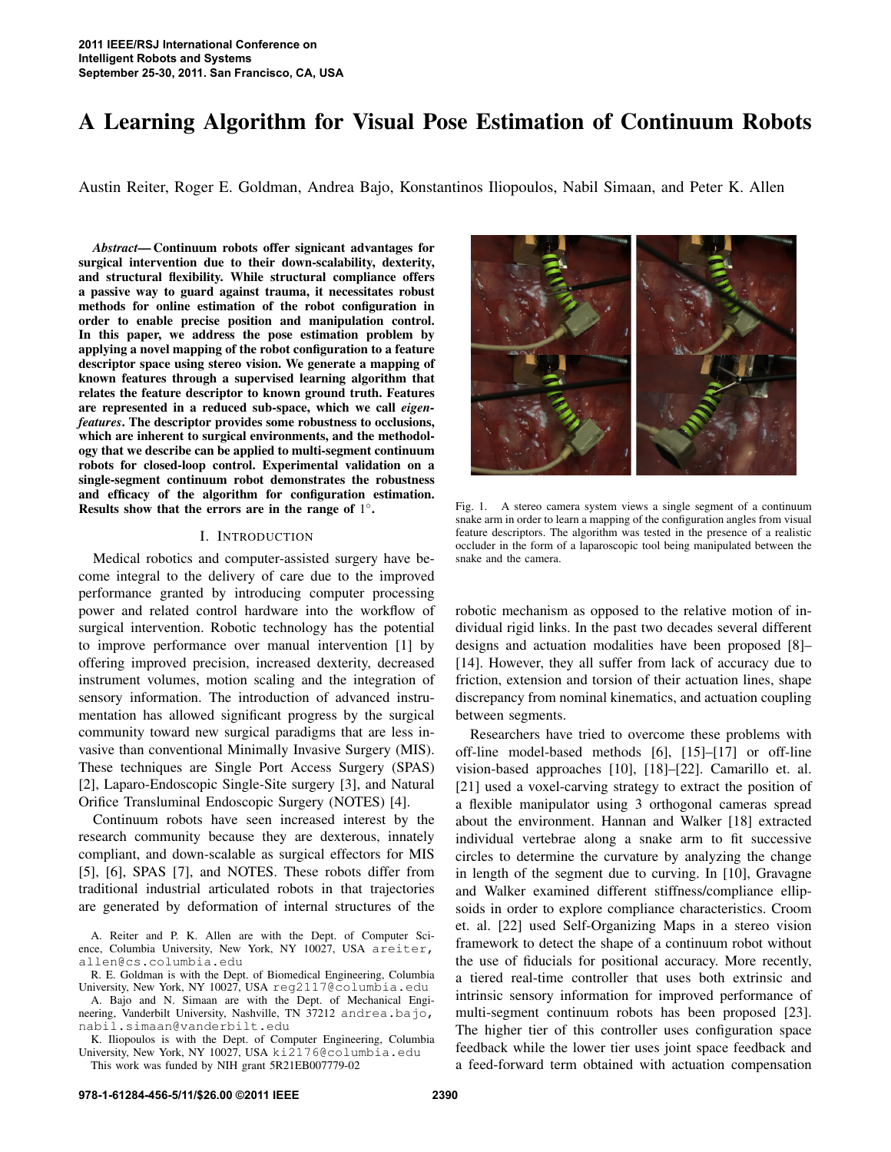# A Learning Algorithm for Visual Pose Estimation of Continuum Robots

Austin Reiter, Roger E. Goldman, Andrea Bajo, Konstantinos Iliopoulos, Nabil Simaan, and Peter K. Allen

*Abstract*— Continuum robots offer signicant advantages for surgical intervention due to their down-scalability, dexterity, and structural flexibility. While structural compliance offers a passive way to guard against trauma, it necessitates robust methods for online estimation of the robot configuration in order to enable precise position and manipulation control. In this paper, we address the pose estimation problem by applying a novel mapping of the robot configuration to a feature descriptor space using stereo vision. We generate a mapping of known features through a supervised learning algorithm that relates the feature descriptor to known ground truth. Features are represented in a reduced sub-space, which we call *eigenfeatures*. The descriptor provides some robustness to occlusions, which are inherent to surgical environments, and the methodology that we describe can be applied to multi-segment continuum robots for closed-loop control. Experimental validation on a single-segment continuum robot demonstrates the robustness and efficacy of the algorithm for configuration estimation. Results show that the errors are in the range of 1◦.

#### I. INTRODUCTION

Medical robotics and computer-assisted surgery have become integral to the delivery of care due to the improved performance granted by introducing computer processing power and related control hardware into the workflow of surgical intervention. Robotic technology has the potential to improve performance over manual intervention [1] by offering improved precision, increased dexterity, decreased instrument volumes, motion scaling and the integration of sensory information. The introduction of advanced instrumentation has allowed significant progress by the surgical community toward new surgical paradigms that are less invasive than conventional Minimally Invasive Surgery (MIS). These techniques are Single Port Access Surgery (SPAS) [2], Laparo-Endoscopic Single-Site surgery [3], and Natural Orifice Transluminal Endoscopic Surgery (NOTES) [4].

Continuum robots have seen increased interest by the research community because they are dexterous, innately compliant, and down-scalable as surgical effectors for MIS [5], [6], SPAS [7], and NOTES. These robots differ from traditional industrial articulated robots in that trajectories are generated by deformation of internal structures of the

K. Iliopoulos is with the Dept. of Computer Engineering, Columbia University, New York, NY 10027, USA ki2176@columbia.edu This work was funded by NIH grant 5R21EB007779-02



Fig. 1. A stereo camera system views a single segment of a continuum snake arm in order to learn a mapping of the configuration angles from visual feature descriptors. The algorithm was tested in the presence of a realistic occluder in the form of a laparoscopic tool being manipulated between the snake and the camera.

robotic mechanism as opposed to the relative motion of individual rigid links. In the past two decades several different designs and actuation modalities have been proposed [8]– [14]. However, they all suffer from lack of accuracy due to friction, extension and torsion of their actuation lines, shape discrepancy from nominal kinematics, and actuation coupling between segments.

Researchers have tried to overcome these problems with off-line model-based methods [6], [15]–[17] or off-line vision-based approaches [10], [18]–[22]. Camarillo et. al. [21] used a voxel-carving strategy to extract the position of a flexible manipulator using 3 orthogonal cameras spread about the environment. Hannan and Walker [18] extracted individual vertebrae along a snake arm to fit successive circles to determine the curvature by analyzing the change in length of the segment due to curving. In [10], Gravagne and Walker examined different stiffness/compliance ellipsoids in order to explore compliance characteristics. Croom et. al. [22] used Self-Organizing Maps in a stereo vision framework to detect the shape of a continuum robot without the use of fiducials for positional accuracy. More recently, a tiered real-time controller that uses both extrinsic and intrinsic sensory information for improved performance of multi-segment continuum robots has been proposed [23]. The higher tier of this controller uses configuration space feedback while the lower tier uses joint space feedback and a feed-forward term obtained with actuation compensation

A. Reiter and P. K. Allen are with the Dept. of Computer Science, Columbia University, New York, NY 10027, USA areiter, allen@cs.columbia.edu

R. E. Goldman is with the Dept. of Biomedical Engineering, Columbia University, New York, NY 10027, USA reg2117@columbia.edu

A. Bajo and N. Simaan are with the Dept. of Mechanical Engineering, Vanderbilt University, Nashville, TN 37212 andrea.bajo, nabil.simaan@vanderbilt.edu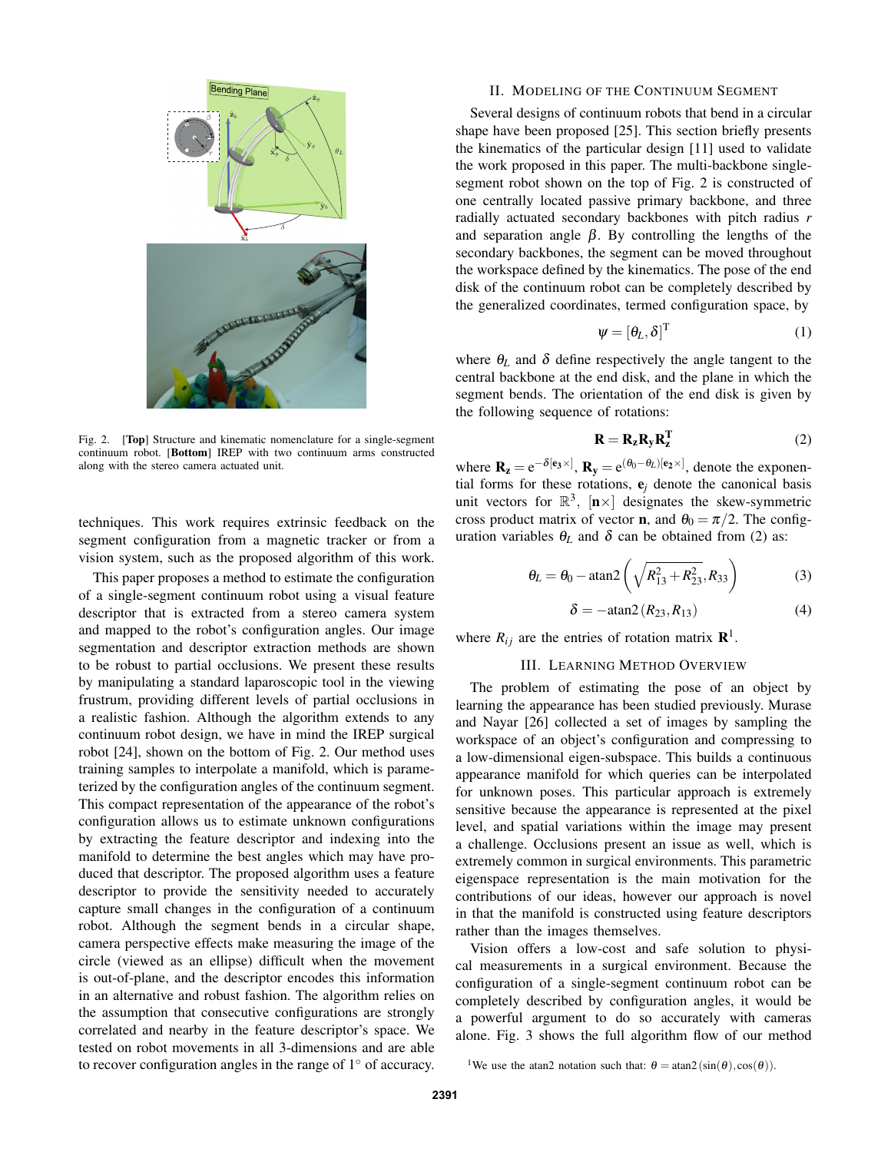

Fig. 2. [Top] Structure and kinematic nomenclature for a single-segment continuum robot. [Bottom] IREP with two continuum arms constructed along with the stereo camera actuated unit.

techniques. This work requires extrinsic feedback on the segment configuration from a magnetic tracker or from a vision system, such as the proposed algorithm of this work.

This paper proposes a method to estimate the configuration of a single-segment continuum robot using a visual feature descriptor that is extracted from a stereo camera system and mapped to the robot's configuration angles. Our image segmentation and descriptor extraction methods are shown to be robust to partial occlusions. We present these results by manipulating a standard laparoscopic tool in the viewing frustrum, providing different levels of partial occlusions in a realistic fashion. Although the algorithm extends to any continuum robot design, we have in mind the IREP surgical robot [24], shown on the bottom of Fig. 2. Our method uses training samples to interpolate a manifold, which is parameterized by the configuration angles of the continuum segment. This compact representation of the appearance of the robot's configuration allows us to estimate unknown configurations by extracting the feature descriptor and indexing into the manifold to determine the best angles which may have produced that descriptor. The proposed algorithm uses a feature descriptor to provide the sensitivity needed to accurately capture small changes in the configuration of a continuum robot. Although the segment bends in a circular shape, camera perspective effects make measuring the image of the circle (viewed as an ellipse) difficult when the movement is out-of-plane, and the descriptor encodes this information in an alternative and robust fashion. The algorithm relies on the assumption that consecutive configurations are strongly correlated and nearby in the feature descriptor's space. We tested on robot movements in all 3-dimensions and are able to recover configuration angles in the range of 1◦ of accuracy.

### II. MODELING OF THE CONTINUUM SEGMENT

Several designs of continuum robots that bend in a circular shape have been proposed [25]. This section briefly presents the kinematics of the particular design [11] used to validate the work proposed in this paper. The multi-backbone singlesegment robot shown on the top of Fig. 2 is constructed of one centrally located passive primary backbone, and three radially actuated secondary backbones with pitch radius *r* and separation angle  $\beta$ . By controlling the lengths of the secondary backbones, the segment can be moved throughout the workspace defined by the kinematics. The pose of the end disk of the continuum robot can be completely described by the generalized coordinates, termed configuration space, by

$$
\boldsymbol{\psi} = [\theta_L, \delta]^{\mathrm{T}} \tag{1}
$$

where  $\theta_L$  and  $\delta$  define respectively the angle tangent to the central backbone at the end disk, and the plane in which the segment bends. The orientation of the end disk is given by the following sequence of rotations:

$$
\mathbf{R} = \mathbf{R}_{\mathbf{z}} \mathbf{R}_{\mathbf{y}} \mathbf{R}_{\mathbf{z}}^{\mathbf{T}} \tag{2}
$$

where  $\mathbf{R}_{z} = e^{-\delta[\mathbf{e}_3 \times]}$ ,  $\mathbf{R}_{y} = e^{(\theta_0 - \theta_L)[\mathbf{e}_2 \times]}$ , denote the exponential forms for these rotations,  $e_i$  denote the canonical basis unit vectors for  $\mathbb{R}^3$ ,  $[n \times]$  designates the skew-symmetric cross product matrix of vector **n**, and  $\theta_0 = \pi/2$ . The configuration variables  $\theta_L$  and  $\delta$  can be obtained from (2) as:

$$
\theta_L = \theta_0 - \text{atan2}\left(\sqrt{R_{13}^2 + R_{23}^2}, R_{33}\right) \tag{3}
$$

$$
\delta = -\operatorname{atan2}\left(R_{23}, R_{13}\right) \tag{4}
$$

where  $R_{ij}$  are the entries of rotation matrix  $\mathbf{R}^1$ .

## III. LEARNING METHOD OVERVIEW

The problem of estimating the pose of an object by learning the appearance has been studied previously. Murase and Nayar [26] collected a set of images by sampling the workspace of an object's configuration and compressing to a low-dimensional eigen-subspace. This builds a continuous appearance manifold for which queries can be interpolated for unknown poses. This particular approach is extremely sensitive because the appearance is represented at the pixel level, and spatial variations within the image may present a challenge. Occlusions present an issue as well, which is extremely common in surgical environments. This parametric eigenspace representation is the main motivation for the contributions of our ideas, however our approach is novel in that the manifold is constructed using feature descriptors rather than the images themselves.

Vision offers a low-cost and safe solution to physical measurements in a surgical environment. Because the configuration of a single-segment continuum robot can be completely described by configuration angles, it would be a powerful argument to do so accurately with cameras alone. Fig. 3 shows the full algorithm flow of our method

<sup>1</sup>We use the atan2 notation such that:  $\theta = \tan 2(\sin(\theta), \cos(\theta)).$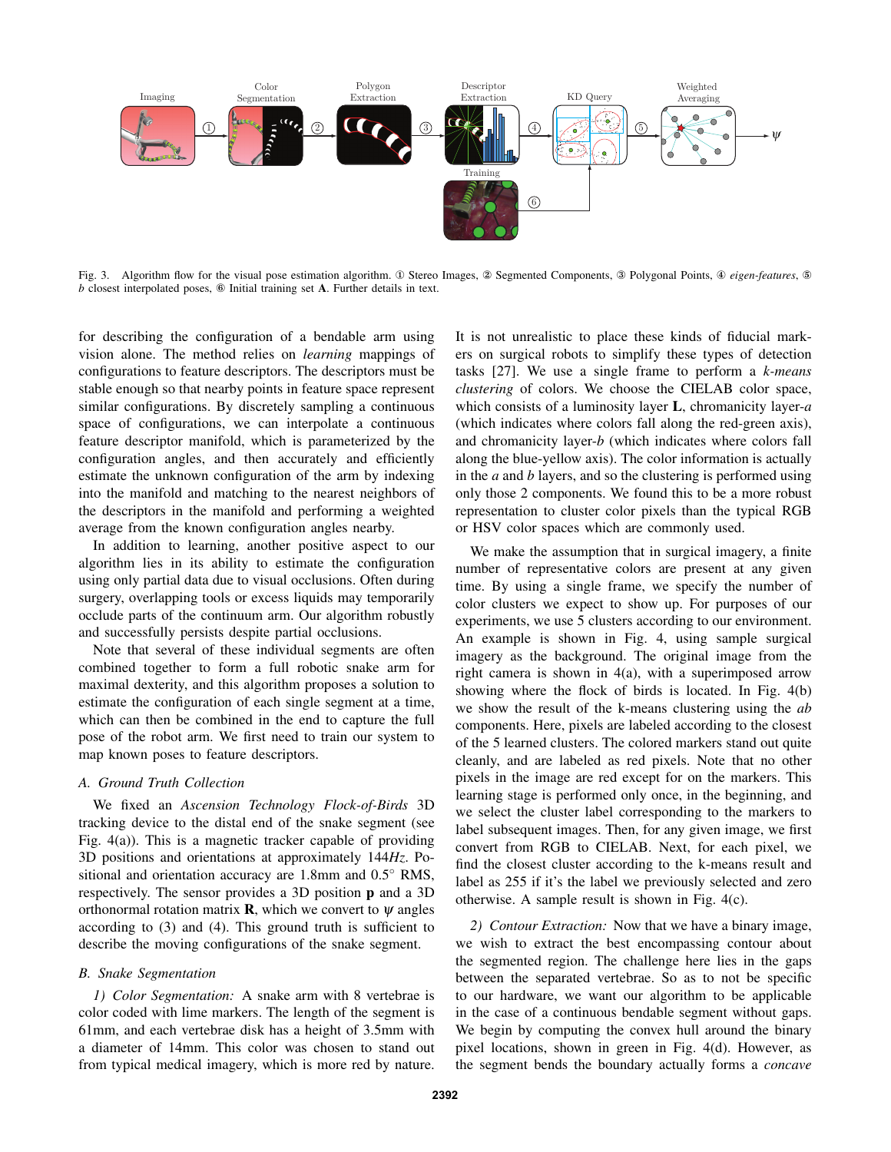

Fig. 3. Algorithm flow for the visual pose estimation algorithm. ① Stereo Images, ② Segmented Components, ③ Polygonal Points, ④ *eigen-features*, ⑤ *b* closest interpolated poses, **®** Initial training set **A**. Further details in text.

for describing the configuration of a bendable arm using vision alone. The method relies on *learning* mappings of configurations to feature descriptors. The descriptors must be stable enough so that nearby points in feature space represent similar configurations. By discretely sampling a continuous space of configurations, we can interpolate a continuous feature descriptor manifold, which is parameterized by the configuration angles, and then accurately and efficiently estimate the unknown configuration of the arm by indexing into the manifold and matching to the nearest neighbors of the descriptors in the manifold and performing a weighted average from the known configuration angles nearby.

In addition to learning, another positive aspect to our algorithm lies in its ability to estimate the configuration using only partial data due to visual occlusions. Often during surgery, overlapping tools or excess liquids may temporarily occlude parts of the continuum arm. Our algorithm robustly and successfully persists despite partial occlusions.

Note that several of these individual segments are often combined together to form a full robotic snake arm for maximal dexterity, and this algorithm proposes a solution to estimate the configuration of each single segment at a time, which can then be combined in the end to capture the full pose of the robot arm. We first need to train our system to map known poses to feature descriptors.

## *A. Ground Truth Collection*

We fixed an *Ascension Technology Flock-of-Birds* 3D tracking device to the distal end of the snake segment (see Fig. 4(a)). This is a magnetic tracker capable of providing 3D positions and orientations at approximately 144*Hz*. Positional and orientation accuracy are 1.8mm and 0.5<sup>°</sup> RMS, respectively. The sensor provides a 3D position p and a 3D orthonormal rotation matrix **R**, which we convert to  $\psi$  angles according to (3) and (4). This ground truth is sufficient to describe the moving configurations of the snake segment.

### *B. Snake Segmentation*

*1) Color Segmentation:* A snake arm with 8 vertebrae is color coded with lime markers. The length of the segment is 61mm, and each vertebrae disk has a height of 3.5mm with a diameter of 14mm. This color was chosen to stand out from typical medical imagery, which is more red by nature.

It is not unrealistic to place these kinds of fiducial markers on surgical robots to simplify these types of detection tasks [27]. We use a single frame to perform a *k-means clustering* of colors. We choose the CIELAB color space, which consists of a luminosity layer L, chromanicity layer-*a* (which indicates where colors fall along the red-green axis), and chromanicity layer-*b* (which indicates where colors fall along the blue-yellow axis). The color information is actually in the *a* and *b* layers, and so the clustering is performed using only those 2 components. We found this to be a more robust representation to cluster color pixels than the typical RGB or HSV color spaces which are commonly used.

We make the assumption that in surgical imagery, a finite number of representative colors are present at any given time. By using a single frame, we specify the number of color clusters we expect to show up. For purposes of our experiments, we use 5 clusters according to our environment. An example is shown in Fig. 4, using sample surgical imagery as the background. The original image from the right camera is shown in 4(a), with a superimposed arrow showing where the flock of birds is located. In Fig. 4(b) we show the result of the k-means clustering using the *ab* components. Here, pixels are labeled according to the closest of the 5 learned clusters. The colored markers stand out quite cleanly, and are labeled as red pixels. Note that no other pixels in the image are red except for on the markers. This learning stage is performed only once, in the beginning, and we select the cluster label corresponding to the markers to label subsequent images. Then, for any given image, we first convert from RGB to CIELAB. Next, for each pixel, we find the closest cluster according to the k-means result and label as 255 if it's the label we previously selected and zero otherwise. A sample result is shown in Fig. 4(c).

*2) Contour Extraction:* Now that we have a binary image, we wish to extract the best encompassing contour about the segmented region. The challenge here lies in the gaps between the separated vertebrae. So as to not be specific to our hardware, we want our algorithm to be applicable in the case of a continuous bendable segment without gaps. We begin by computing the convex hull around the binary pixel locations, shown in green in Fig. 4(d). However, as the segment bends the boundary actually forms a *concave*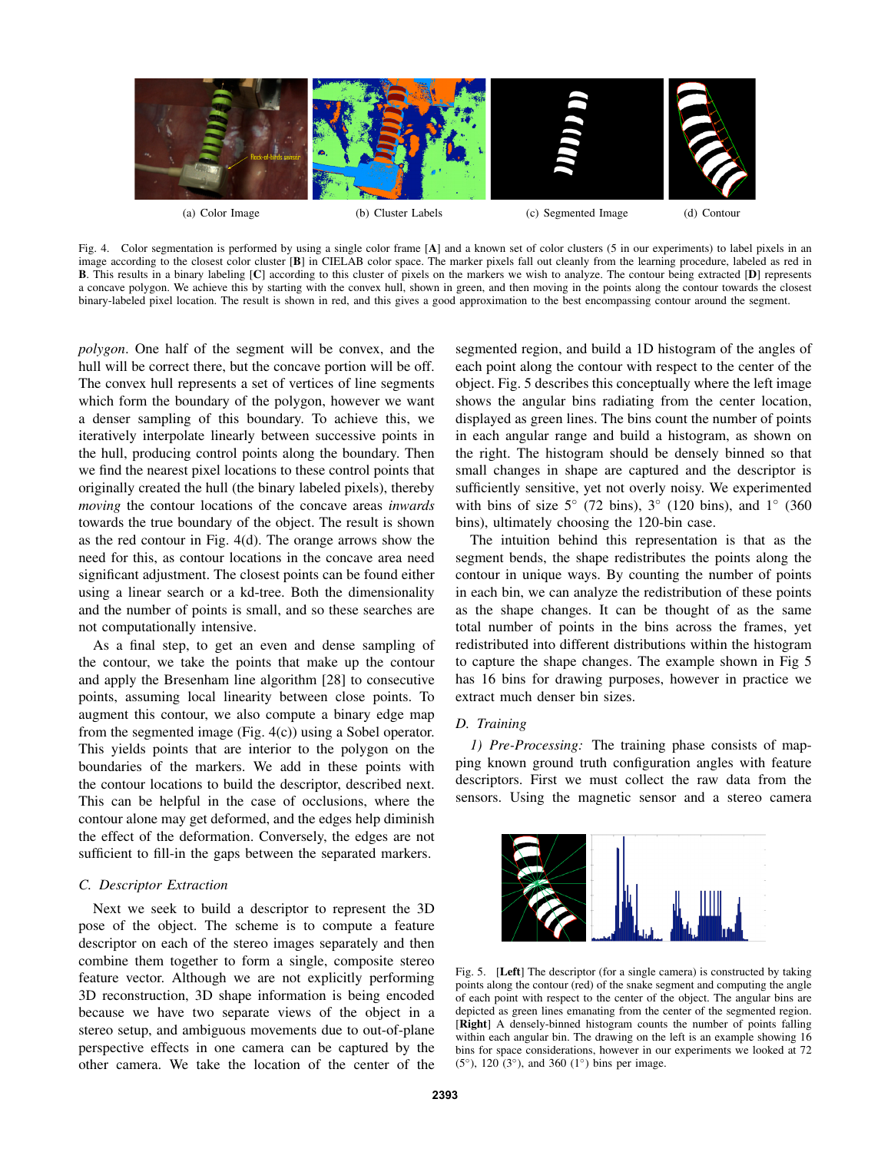

Fig. 4. Color segmentation is performed by using a single color frame [A] and a known set of color clusters (5 in our experiments) to label pixels in an image according to the closest color cluster [B] in CIELAB color space. The marker pixels fall out cleanly from the learning procedure, labeled as red in B. This results in a binary labeling [C] according to this cluster of pixels on the markers we wish to analyze. The contour being extracted [D] represents a concave polygon. We achieve this by starting with the convex hull, shown in green, and then moving in the points along the contour towards the closest binary-labeled pixel location. The result is shown in red, and this gives a good approximation to the best encompassing contour around the segment.

*polygon*. One half of the segment will be convex, and the hull will be correct there, but the concave portion will be off. The convex hull represents a set of vertices of line segments which form the boundary of the polygon, however we want a denser sampling of this boundary. To achieve this, we iteratively interpolate linearly between successive points in the hull, producing control points along the boundary. Then we find the nearest pixel locations to these control points that originally created the hull (the binary labeled pixels), thereby *moving* the contour locations of the concave areas *inwards* towards the true boundary of the object. The result is shown as the red contour in Fig. 4(d). The orange arrows show the need for this, as contour locations in the concave area need significant adjustment. The closest points can be found either using a linear search or a kd-tree. Both the dimensionality and the number of points is small, and so these searches are not computationally intensive.

As a final step, to get an even and dense sampling of the contour, we take the points that make up the contour and apply the Bresenham line algorithm [28] to consecutive points, assuming local linearity between close points. To augment this contour, we also compute a binary edge map from the segmented image (Fig. 4(c)) using a Sobel operator. This yields points that are interior to the polygon on the boundaries of the markers. We add in these points with the contour locations to build the descriptor, described next. This can be helpful in the case of occlusions, where the contour alone may get deformed, and the edges help diminish the effect of the deformation. Conversely, the edges are not sufficient to fill-in the gaps between the separated markers.

## *C. Descriptor Extraction*

Next we seek to build a descriptor to represent the 3D pose of the object. The scheme is to compute a feature descriptor on each of the stereo images separately and then combine them together to form a single, composite stereo feature vector. Although we are not explicitly performing 3D reconstruction, 3D shape information is being encoded because we have two separate views of the object in a stereo setup, and ambiguous movements due to out-of-plane perspective effects in one camera can be captured by the other camera. We take the location of the center of the

segmented region, and build a 1D histogram of the angles of each point along the contour with respect to the center of the object. Fig. 5 describes this conceptually where the left image shows the angular bins radiating from the center location, displayed as green lines. The bins count the number of points in each angular range and build a histogram, as shown on the right. The histogram should be densely binned so that small changes in shape are captured and the descriptor is sufficiently sensitive, yet not overly noisy. We experimented with bins of size  $5°$  (72 bins),  $3°$  (120 bins), and  $1°$  (360 bins), ultimately choosing the 120-bin case.

The intuition behind this representation is that as the segment bends, the shape redistributes the points along the contour in unique ways. By counting the number of points in each bin, we can analyze the redistribution of these points as the shape changes. It can be thought of as the same total number of points in the bins across the frames, yet redistributed into different distributions within the histogram to capture the shape changes. The example shown in Fig 5 has 16 bins for drawing purposes, however in practice we extract much denser bin sizes.

## *D. Training*

*1) Pre-Processing:* The training phase consists of mapping known ground truth configuration angles with feature descriptors. First we must collect the raw data from the sensors. Using the magnetic sensor and a stereo camera



Fig. 5. [Left] The descriptor (for a single camera) is constructed by taking points along the contour (red) of the snake segment and computing the angle of each point with respect to the center of the object. The angular bins are depicted as green lines emanating from the center of the segmented region. [Right] A densely-binned histogram counts the number of points falling within each angular bin. The drawing on the left is an example showing 16 bins for space considerations, however in our experiments we looked at 72 (5<sup>°</sup>), 120 (3<sup>°</sup>), and 360 (1<sup>°</sup>) bins per image.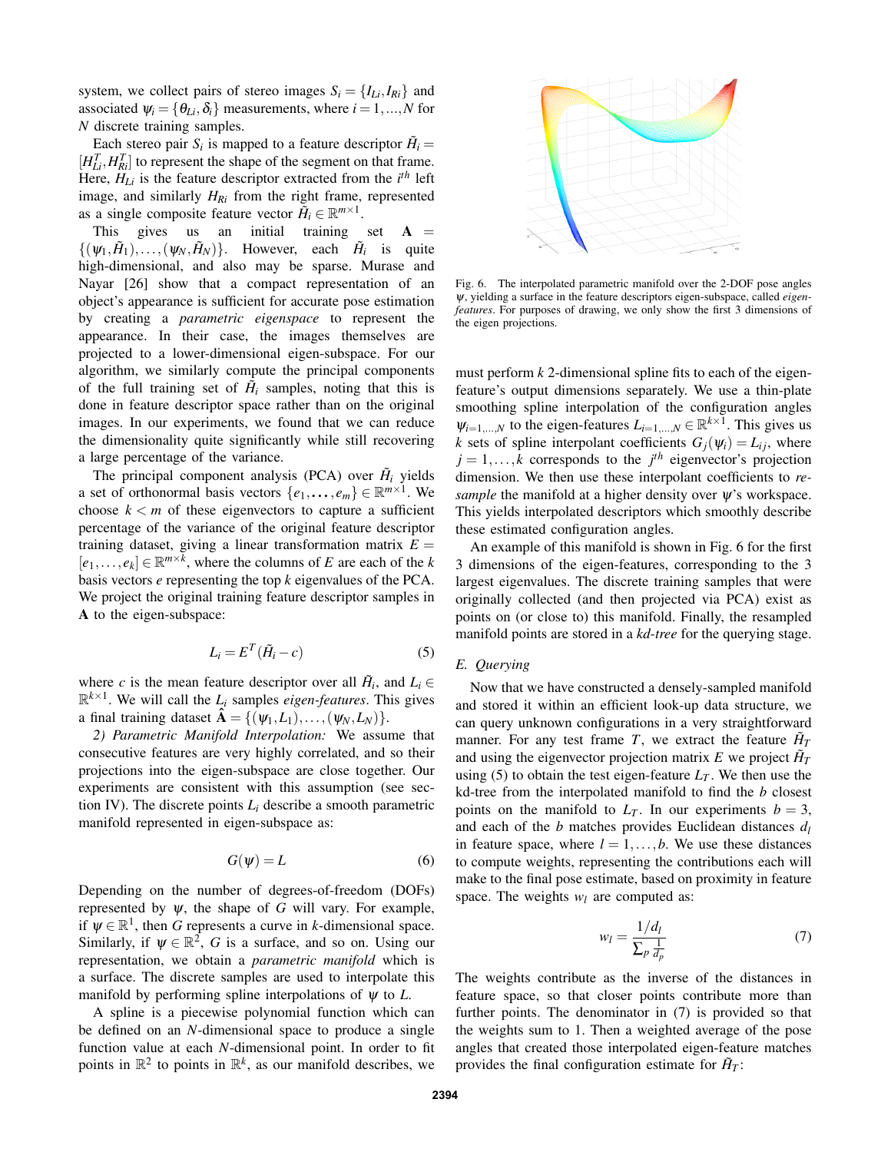system, we collect pairs of stereo images  $S_i = \{I_{Li}, I_{Ri}\}\$ and associated  $\psi_i = {\theta_{Li}, \delta_i}$  measurements, where  $i = 1, ..., N$  for *N* discrete training samples.

Each stereo pair  $S_i$  is mapped to a feature descriptor  $H_i =$  $[H_L^T, H_R^T]$  to represent the shape of the segment on that frame.<br>Here  $H_U$  is the feature descriptor extracted from the *i*<sup>th</sup> left Here,  $H_{Li}$  is the feature descriptor extracted from the  $i^{th}$  left image, and similarly  $H_{Ri}$  from the right frame, represented as a single composite feature vector  $\tilde{H}_i \in \mathbb{R}^{m \times 1}$ .<br>This gives us an initial training

gives us an initial training set  $A =$  $\{(\psi_1, \tilde{H}_1), \ldots, (\psi_N, \tilde{H}_N)\}\$ . However, each  $\tilde{H}_i$  is quite high-dimensional, and also may be sparse. Murase and Nayar [26] show that a compact representation of an object's appearance is sufficient for accurate pose estimation by creating a *parametric eigenspace* to represent the appearance. In their case, the images themselves are projected to a lower-dimensional eigen-subspace. For our algorithm, we similarly compute the principal components of the full training set of  $\tilde{H}_i$  samples, noting that this is done in feature descriptor space rather than on the original images. In our experiments, we found that we can reduce the dimensionality quite significantly while still recovering a large percentage of the variance.

The principal component analysis (PCA) over  $\tilde{H}_i$  yields a set of orthonormal basis vectors  $\{e_1, \dots, e_m\} \in \mathbb{R}^{m \times 1}$ . We choose  $k < m$  of these eigenvectors to capture a sufficient percentage of the variance of the original feature descriptor training dataset, giving a linear transformation matrix  $E =$  $[e_1, \ldots, e_k] \in \mathbb{R}^{m \times k}$ , where the columns of *E* are each of the *k* basis vectors *e* representing the top *k* eigenvalues of the PCA. We project the original training feature descriptor samples in A to the eigen-subspace:

$$
L_i = E^T(\tilde{H}_i - c) \tag{5}
$$

where *c* is the mean feature descriptor over all  $\tilde{H}_i$ , and  $L_i \in$  $\mathbb{R}^{k \times 1}$ . We will call the  $L_i$  samples *eigen-features*. This gives a final training dataset  $\hat{\mathbf{A}} = \{(\psi_1, L_1), \dots, (\psi_N, L_N)\}.$ 

*2) Parametric Manifold Interpolation:* We assume that consecutive features are very highly correlated, and so their projections into the eigen-subspace are close together. Our experiments are consistent with this assumption (see section IV). The discrete points *Li* describe a smooth parametric manifold represented in eigen-subspace as:

$$
G(\psi) = L \tag{6}
$$

Depending on the number of degrees-of-freedom (DOFs) represented by  $\psi$ , the shape of *G* will vary. For example, if  $\psi \in \mathbb{R}^1$ , then *G* represents a curve in *k*-dimensional space. Similarly, if  $\psi \in \mathbb{R}^2$ , *G* is a surface, and so on. Using our representation, we obtain a *parametric manifold* which is a surface. The discrete samples are used to interpolate this manifold by performing spline interpolations of  $\psi$  to  $L$ .

A spline is a piecewise polynomial function which can be defined on an *N*-dimensional space to produce a single function value at each *N*-dimensional point. In order to fit points in  $\mathbb{R}^2$  to points in  $\mathbb{R}^k$ , as our manifold describes, we



Fig. 6. The interpolated parametric manifold over the 2-DOF pose angles ψ, yielding a surface in the feature descriptors eigen-subspace, called *eigenfeatures*. For purposes of drawing, we only show the first 3 dimensions of the eigen projections.

must perform *k* 2-dimensional spline fits to each of the eigenfeature's output dimensions separately. We use a thin-plate smoothing spline interpolation of the configuration angles  $\psi_{i=1,\dots,N}$  to the eigen-features  $L_{i=1,\dots,N} \in \mathbb{R}^{k \times 1}$ . This gives us *k* sets of spline interpolant coefficients  $G_i(\psi_i) = L_{ij}$ , where  $j = 1, \ldots, k$  corresponds to the  $j<sup>th</sup>$  eigenvector's projection<br>dimension. We then use these interpolant coefficients to redimension. We then use these interpolant coefficients to *resample* the manifold at a higher density over  $\psi$ 's workspace. This yields interpolated descriptors which smoothly describe these estimated configuration angles.

An example of this manifold is shown in Fig. 6 for the first 3 dimensions of the eigen-features, corresponding to the 3 largest eigenvalues. The discrete training samples that were originally collected (and then projected via PCA) exist as points on (or close to) this manifold. Finally, the resampled manifold points are stored in a *kd-tree* for the querying stage.

## *E. Querying*

Now that we have constructed a densely-sampled manifold and stored it within an efficient look-up data structure, we can query unknown configurations in a very straightforward manner. For any test frame *T*, we extract the feature  $\tilde{H}_T$ and using the eigenvector projection matrix  $E$  we project  $\tilde{H}_T$ using (5) to obtain the test eigen-feature  $L<sub>T</sub>$ . We then use the kd-tree from the interpolated manifold to find the *b* closest points on the manifold to  $L_T$ . In our experiments  $b = 3$ , and each of the *b* matches provides Euclidean distances  $d_l$ in feature space, where  $l = 1, \ldots, b$ . We use these distances to compute weights, representing the contributions each will make to the final pose estimate, based on proximity in feature space. The weights  $w_l$  are computed as:

$$
w_l = \frac{1/d_l}{\sum_p \frac{1}{d_p}}\tag{7}
$$

The weights contribute as the inverse of the distances in feature space, so that closer points contribute more than further points. The denominator in (7) is provided so that the weights sum to 1. Then a weighted average of the pose angles that created those interpolated eigen-feature matches provides the final configuration estimate for  $\tilde{H}_T$ :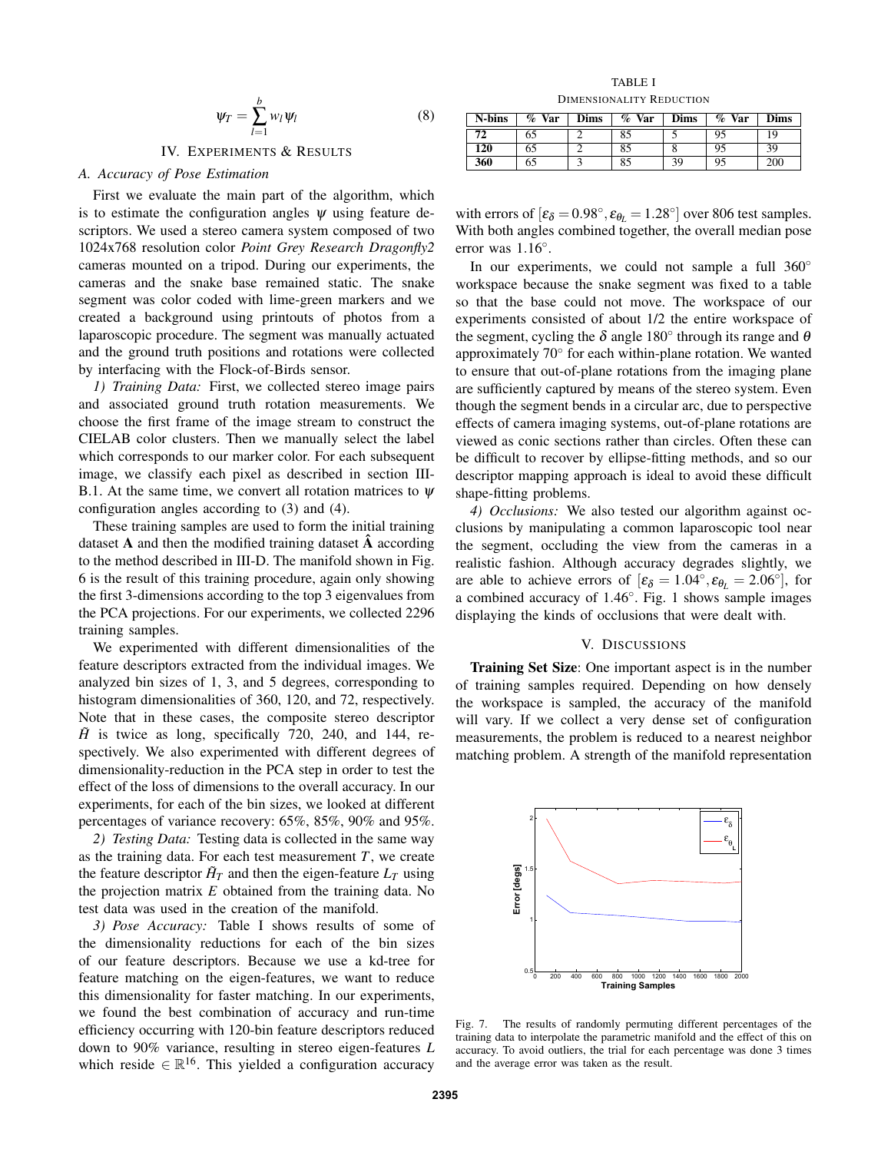$$
\psi_T = \sum_{l=1}^b w_l \psi_l \tag{8}
$$

## IV. EXPERIMENTS & RESULTS

# *A. Accuracy of Pose Estimation*

First we evaluate the main part of the algorithm, which is to estimate the configuration angles  $\psi$  using feature descriptors. We used a stereo camera system composed of two 1024x768 resolution color *Point Grey Research Dragonfly2* cameras mounted on a tripod. During our experiments, the cameras and the snake base remained static. The snake segment was color coded with lime-green markers and we created a background using printouts of photos from a laparoscopic procedure. The segment was manually actuated and the ground truth positions and rotations were collected by interfacing with the Flock-of-Birds sensor.

*1) Training Data:* First, we collected stereo image pairs and associated ground truth rotation measurements. We choose the first frame of the image stream to construct the CIELAB color clusters. Then we manually select the label which corresponds to our marker color. For each subsequent image, we classify each pixel as described in section III-B.1. At the same time, we convert all rotation matrices to  $\psi$ configuration angles according to (3) and (4).

These training samples are used to form the initial training dataset A and then the modified training dataset  $\hat{A}$  according to the method described in III-D. The manifold shown in Fig. 6 is the result of this training procedure, again only showing the first 3-dimensions according to the top 3 eigenvalues from the PCA projections. For our experiments, we collected 2296 training samples.

We experimented with different dimensionalities of the feature descriptors extracted from the individual images. We analyzed bin sizes of 1, 3, and 5 degrees, corresponding to histogram dimensionalities of 360, 120, and 72, respectively. Note that in these cases, the composite stereo descriptor  $\tilde{H}$  is twice as long, specifically 720, 240, and 144, respectively. We also experimented with different degrees of dimensionality-reduction in the PCA step in order to test the effect of the loss of dimensions to the overall accuracy. In our experiments, for each of the bin sizes, we looked at different percentages of variance recovery: 65%, 85%, 90% and 95%.

*2) Testing Data:* Testing data is collected in the same way as the training data. For each test measurement *T*, we create the feature descriptor  $H_T$  and then the eigen-feature  $L_T$  using the projection matrix *E* obtained from the training data. No test data was used in the creation of the manifold.

*3) Pose Accuracy:* Table I shows results of some of the dimensionality reductions for each of the bin sizes of our feature descriptors. Because we use a kd-tree for feature matching on the eigen-features, we want to reduce this dimensionality for faster matching. In our experiments, we found the best combination of accuracy and run-time efficiency occurring with 120-bin feature descriptors reduced down to 90% variance, resulting in stereo eigen-features *L* which reside  $\in \mathbb{R}^{16}$ . This yielded a configuration accuracy

TABLE I DIMENSIONALITY REDUCTION

| N-bins | $%$ Var | <b>Dims</b> | $%$ Var | <b>Dims</b> | $\%$<br>Var | <b>Dims</b> |
|--------|---------|-------------|---------|-------------|-------------|-------------|
|        |         |             |         |             |             |             |
| 120    | CO      |             |         |             |             | ٩q          |
| 360    | O.      |             | $\circ$ | 39          | 95          |             |

with errors of  $[\varepsilon_{\delta} = 0.98^{\circ}, \varepsilon_{\theta_L} = 1.28^{\circ}]$  over 806 test samples. With both angles combined together, the overall median pose error was 1.16◦.

In our experiments, we could not sample a full 360<sup>°</sup> workspace because the snake segment was fixed to a table so that the base could not move. The workspace of our experiments consisted of about 1/2 the entire workspace of the segment, cycling the  $\delta$  angle 180 $\degree$  through its range and  $\theta$ approximately 70◦ for each within-plane rotation. We wanted to ensure that out-of-plane rotations from the imaging plane are sufficiently captured by means of the stereo system. Even though the segment bends in a circular arc, due to perspective effects of camera imaging systems, out-of-plane rotations are viewed as conic sections rather than circles. Often these can be difficult to recover by ellipse-fitting methods, and so our descriptor mapping approach is ideal to avoid these difficult shape-fitting problems.

*4) Occlusions:* We also tested our algorithm against occlusions by manipulating a common laparoscopic tool near the segment, occluding the view from the cameras in a realistic fashion. Although accuracy degrades slightly, we are able to achieve errors of  $[\varepsilon_{\delta} = 1.04^{\circ}, \varepsilon_{\theta_L} = 2.06^{\circ}],$  for a combined accuracy of 1.46◦. Fig. 1 shows sample images displaying the kinds of occlusions that were dealt with.

#### V. DISCUSSIONS

Training Set Size: One important aspect is in the number of training samples required. Depending on how densely the workspace is sampled, the accuracy of the manifold will vary. If we collect a very dense set of configuration measurements, the problem is reduced to a nearest neighbor matching problem. A strength of the manifold representation



Fig. 7. The results of randomly permuting different percentages of the training data to interpolate the parametric manifold and the effect of this on accuracy. To avoid outliers, the trial for each percentage was done 3 times and the average error was taken as the result.